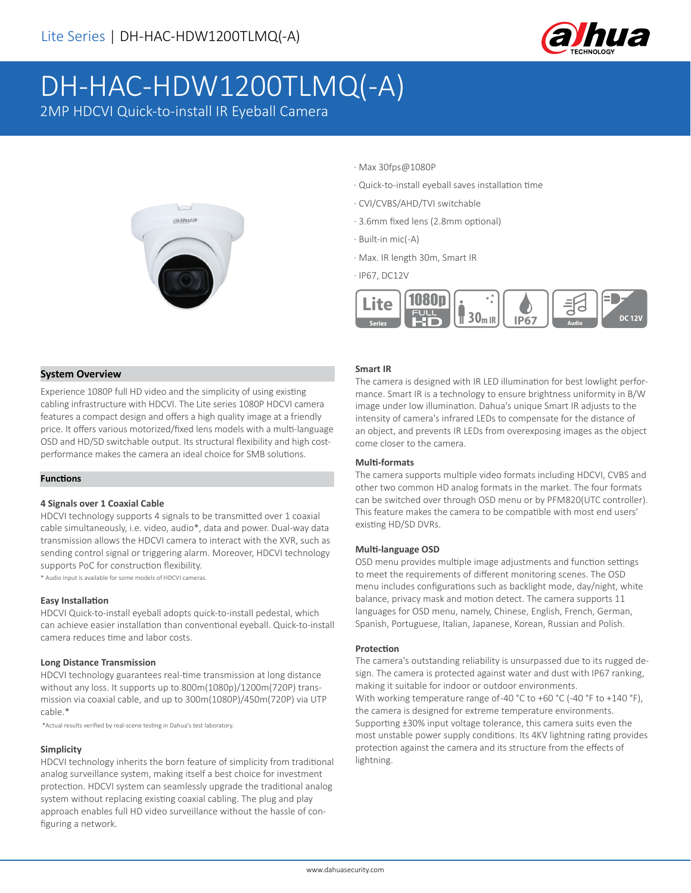

# DH-HAC-HDW1200TLMQ(-A)

2MP HDCVI Quick-to-install IR Eyeball Camera



# · Max 30fps@1080P

- · Quick-to-install eyeball saves installation time
- · CVI/CVBS/AHD/TVI switchable
- · 3.6mm fixed lens (2.8mm optional)
- · Built-in mic(-A)
- · Max. IR length 30m, Smart IR
- · IP67, DC12V



# **System Overview**

Experience 1080P full HD video and the simplicity of using existing cabling infrastructure with HDCVI. The Lite series 1080P HDCVI camera features a compact design and offers a high quality image at a friendly price. It offers various motorized/fixed lens models with a multi-language OSD and HD/SD switchable output. Its structural flexibility and high costperformance makes the camera an ideal choice for SMB solutions.

## **Functions**

## **4 Signals over 1 Coaxial Cable**

HDCVI technology supports 4 signals to be transmitted over 1 coaxial cable simultaneously, i.e. video, audio\*, data and power. Dual-way data transmission allows the HDCVI camera to interact with the XVR, such as sending control signal or triggering alarm. Moreover, HDCVI technology supports PoC for construction flexibility.

\* Audio input is available for some models of HDCVI cameras.

#### **Easy Installation**

HDCVI Quick-to-install eyeball adopts quick-to-install pedestal, which can achieve easier installation than conventional eyeball. Quick-to-install camera reduces time and labor costs.

#### **Long Distance Transmission**

HDCVI technology guarantees real-time transmission at long distance without any loss. It supports up to 800m(1080p)/1200m(720P) transmission via coaxial cable, and up to 300m(1080P)/450m(720P) via UTP cable.\*

\*Actual results verified by real-scene testing in Dahua's test laboratory.

#### **Simplicity**

HDCVI technology inherits the born feature of simplicity from traditional analog surveillance system, making itself a best choice for investment protection. HDCVI system can seamlessly upgrade the traditional analog system without replacing existing coaxial cabling. The plug and play approach enables full HD video surveillance without the hassle of configuring a network.

#### **Smart IR**

The camera is designed with IR LED illumination for best lowlight performance. Smart IR is a technology to ensure brightness uniformity in B/W image under low illumination. Dahua's unique Smart IR adjusts to the intensity of camera's infrared LEDs to compensate for the distance of an object, and prevents IR LEDs from overexposing images as the object come closer to the camera.

#### **Multi-formats**

The camera supports multiple video formats including HDCVI, CVBS and other two common HD analog formats in the market. The four formats can be switched over through OSD menu or by PFM820(UTC controller). This feature makes the camera to be compatible with most end users' existing HD/SD DVRs.

#### **Multi-language OSD**

OSD menu provides multiple image adjustments and function settings to meet the requirements of different monitoring scenes. The OSD menu includes configurations such as backlight mode, day/night, white balance, privacy mask and motion detect. The camera supports 11 languages for OSD menu, namely, Chinese, English, French, German, Spanish, Portuguese, Italian, Japanese, Korean, Russian and Polish.

#### **Protection**

The camera's outstanding reliability is unsurpassed due to its rugged design. The camera is protected against water and dust with IP67 ranking, making it suitable for indoor or outdoor environments. With working temperature range of-40 °C to +60 °C (-40 °F to +140 °F), the camera is designed for extreme temperature environments. Supporting ±30% input voltage tolerance, this camera suits even the most unstable power supply conditions. Its 4KV lightning rating provides protection against the camera and its structure from the effects of lightning.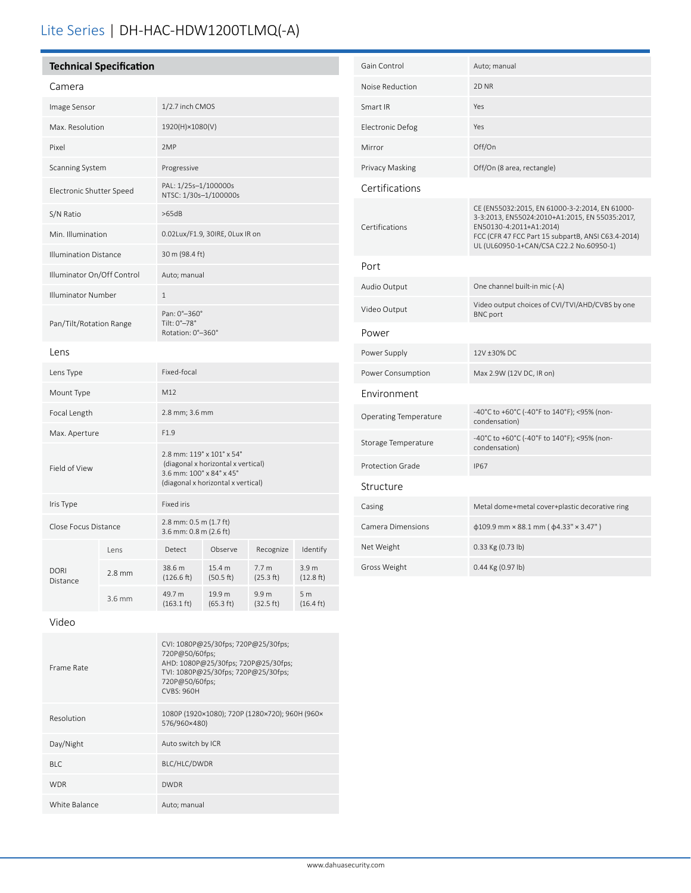# Lite Series | DH-HAC-HDW1200TLMQ(-A)

| <b>Technical Specification</b> |                                                                                                                                   |  |  |  |  |
|--------------------------------|-----------------------------------------------------------------------------------------------------------------------------------|--|--|--|--|
| Camera                         |                                                                                                                                   |  |  |  |  |
| Image Sensor                   | 1/2.7 inch CMOS                                                                                                                   |  |  |  |  |
| Max. Resolution                | 1920(H)×1080(V)                                                                                                                   |  |  |  |  |
| Pixel                          | 2MP                                                                                                                               |  |  |  |  |
| <b>Scanning System</b>         | Progressive                                                                                                                       |  |  |  |  |
| Electronic Shutter Speed       | PAL: 1/25s-1/100000s<br>NTSC: 1/30s-1/100000s                                                                                     |  |  |  |  |
| S/N Ratio                      | >65dB                                                                                                                             |  |  |  |  |
| Min. Illumination              | 0.02Lux/F1.9, 30IRE, OLux IR on                                                                                                   |  |  |  |  |
| <b>Illumination Distance</b>   | 30 m (98.4 ft)                                                                                                                    |  |  |  |  |
| Illuminator On/Off Control     | Auto; manual                                                                                                                      |  |  |  |  |
| <b>Illuminator Number</b>      | $\mathbf{1}$                                                                                                                      |  |  |  |  |
| Pan/Tilt/Rotation Range        | Pan: 0°-360°<br>Tilt: 0°-78°<br>Rotation: 0°-360°                                                                                 |  |  |  |  |
| Lens                           |                                                                                                                                   |  |  |  |  |
| Lens Type                      | Fixed-focal                                                                                                                       |  |  |  |  |
| Mount Type                     | M12                                                                                                                               |  |  |  |  |
| Focal Length                   | 2.8 mm; 3.6 mm                                                                                                                    |  |  |  |  |
| Max. Aperture                  | F1.9                                                                                                                              |  |  |  |  |
| Field of View                  | 2.8 mm: 119° x 101° x 54°<br>(diagonal x horizontal x vertical)<br>3.6 mm: 100° x 84° x 45°<br>(diagonal x horizontal x vertical) |  |  |  |  |
| Iris Type                      | <b>Fixed iris</b>                                                                                                                 |  |  |  |  |

Close Focus Distance 2.8 mm: 0.5 m (1.7 ft) 3.6 mm: 0.8 m (2.6 ft)

2.8 mm  $\frac{38.6 \text{ m}}{(126.6 \text{ m})}$ 

 $3.6 \text{ mm}$  49.7 m

(126.6 ft)

(163.1 ft)

| Gain Control                 | Auto; manual                                                                                                                                                                                                                 |
|------------------------------|------------------------------------------------------------------------------------------------------------------------------------------------------------------------------------------------------------------------------|
| Noise Reduction              | 2D <sub>NR</sub>                                                                                                                                                                                                             |
| Smart IR                     | Yes                                                                                                                                                                                                                          |
| <b>Electronic Defog</b>      | Yes                                                                                                                                                                                                                          |
| Mirror                       | Off/On                                                                                                                                                                                                                       |
| Privacy Masking              | Off/On (8 area, rectangle)                                                                                                                                                                                                   |
| Certifications               |                                                                                                                                                                                                                              |
| Certifications               | CE (EN55032:2015, EN 61000-3-2:2014, EN 61000-<br>3-3:2013, EN55024:2010+A1:2015, EN 55035:2017,<br>EN50130-4:2011+A1:2014)<br>FCC (CFR 47 FCC Part 15 subpartB, ANSI C63.4-2014)<br>UL (UL60950-1+CAN/CSA C22.2 No.60950-1) |
| Port                         |                                                                                                                                                                                                                              |
| Audio Output                 | One channel built-in mic (-A)                                                                                                                                                                                                |
| Video Output                 | Video output choices of CVI/TVI/AHD/CVBS by one<br><b>BNC</b> port                                                                                                                                                           |
| Power                        |                                                                                                                                                                                                                              |
| Power Supply                 | 12V ±30% DC                                                                                                                                                                                                                  |
| Power Consumption            | Max 2.9W (12V DC, IR on)                                                                                                                                                                                                     |
| Environment                  |                                                                                                                                                                                                                              |
| <b>Operating Temperature</b> | -40°C to +60°C (-40°F to 140°F); <95% (non-<br>condensation)                                                                                                                                                                 |
| Storage Temperature          | -40°C to +60°C (-40°F to 140°F); <95% (non-<br>condensation)                                                                                                                                                                 |
| Protection Grade             | <b>IP67</b>                                                                                                                                                                                                                  |
| Structure                    |                                                                                                                                                                                                                              |
| Casing                       | Metal dome+metal cover+plastic decorative ring                                                                                                                                                                               |
| Camera Dimensions            | $\phi$ 109.9 mm × 88.1 mm ( $\phi$ 4.33" × 3.47")                                                                                                                                                                            |
| Net Weight                   | 0.33 Kg (0.73 lb)                                                                                                                                                                                                            |
| Gross Weight                 | 0.44 Kg (0.97 lb)                                                                                                                                                                                                            |

Video

DORI Distance

| Frame Rate    | CVI: 1080P@25/30fps; 720P@25/30fps;<br>720P@50/60fps;<br>AHD: 1080P@25/30fps; 720P@25/30fps;<br>TVI: 1080P@25/30fps; 720P@25/30fps;<br>720P@50/60fps;<br><b>CVBS: 960H</b> |
|---------------|----------------------------------------------------------------------------------------------------------------------------------------------------------------------------|
| Resolution    | 1080P (1920×1080); 720P (1280×720); 960H (960×<br>576/960×480)                                                                                                             |
| Day/Night     | Auto switch by ICR                                                                                                                                                         |
| BIC           | BLC/HLC/DWDR                                                                                                                                                               |
| <b>WDR</b>    | <b>DWDR</b>                                                                                                                                                                |
| White Balance | Auto; manual                                                                                                                                                               |

Lens Detect Observe Recognize Identify

15.4 m (50.5 ft)

19.9 m (65.3 ft) 7.7 m (25.3 ft)

9.9 m (32.5 ft) 3.9 m (12.8 ft)

5 m (16.4 ft)